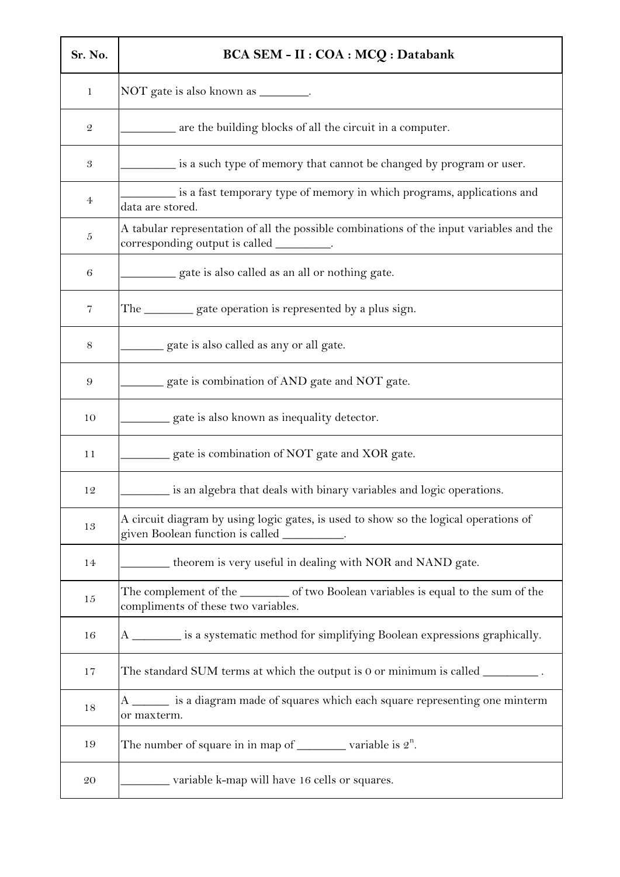| Sr. No.              | BCA SEM - II : COA : MCQ : Databank                                                                                                   |
|----------------------|---------------------------------------------------------------------------------------------------------------------------------------|
| 1                    | NOT gate is also known as ________.                                                                                                   |
| $\mathcal{Q}$        | are the building blocks of all the circuit in a computer.                                                                             |
| $\boldsymbol{\beta}$ | is a such type of memory that cannot be changed by program or user.                                                                   |
| 4                    | is a fast temporary type of memory in which programs, applications and<br>data are stored.                                            |
| $\mathfrak{h}$       | A tabular representation of all the possible combinations of the input variables and the<br>corresponding output is called _________. |
| 6                    | gate is also called as an all or nothing gate.                                                                                        |
| 7                    | The __________ gate operation is represented by a plus sign.                                                                          |
| $8\,$                | gate is also called as any or all gate.                                                                                               |
| $\boldsymbol{9}$     | gate is combination of AND gate and NOT gate.                                                                                         |
| 10                   | gate is also known as inequality detector.                                                                                            |
| 11                   | gate is combination of NOT gate and XOR gate.                                                                                         |
| 12                   | is an algebra that deals with binary variables and logic operations.                                                                  |
| 13                   | A circuit diagram by using logic gates, is used to show so the logical operations of<br>given Boolean function is called ________     |
| 14                   | theorem is very useful in dealing with NOR and NAND gate.                                                                             |
| $15\,$               | The complement of the __________ of two Boolean variables is equal to the sum of the<br>compliments of these two variables.           |
| 16                   | A ________ is a systematic method for simplifying Boolean expressions graphically.                                                    |
| 17                   | The standard SUM terms at which the output is $0$ or minimum is called $\_\_$                                                         |
| 18                   | A _______ is a diagram made of squares which each square representing one minterm<br>or maxterm.                                      |
| 19                   | The number of square in in map of $\_\_\_\_\$ variable is $2^n$ .                                                                     |
| $\rm 20$             | variable k-map will have 16 cells or squares.                                                                                         |